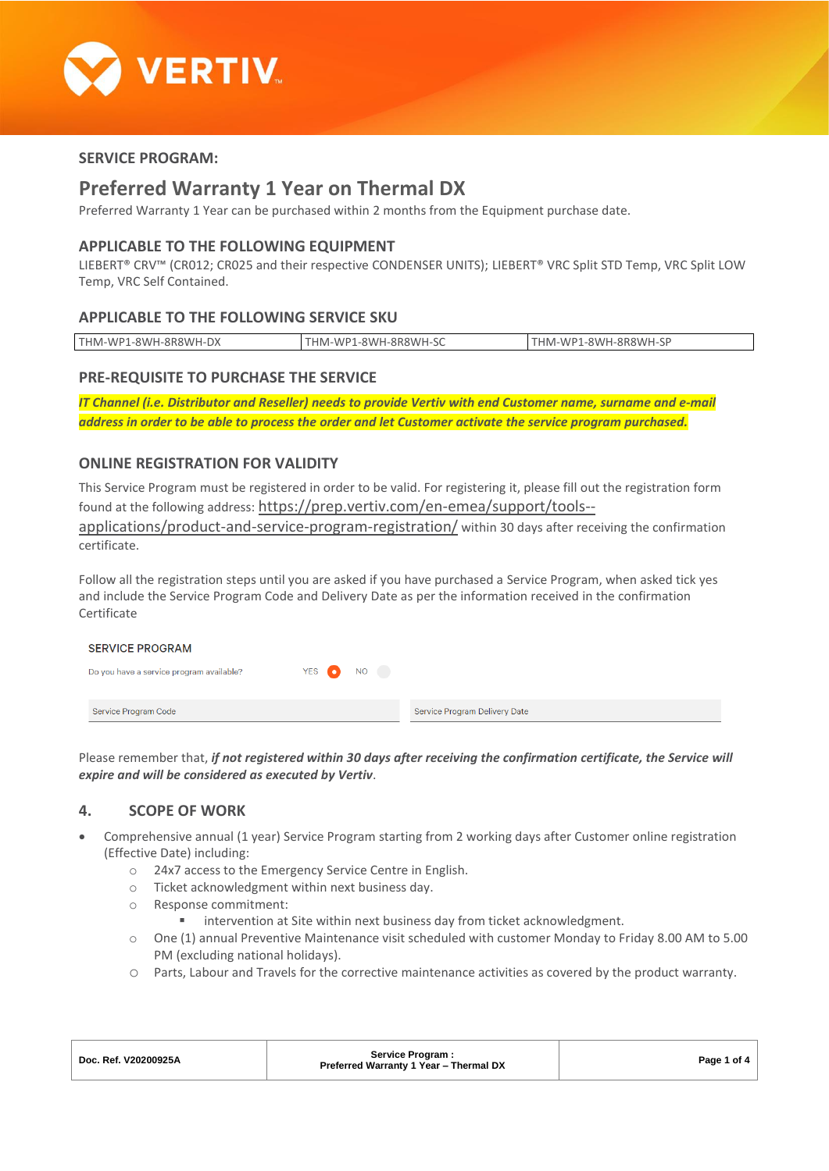

# **SERVICE PROGRAM:**

# **Preferred Warranty 1 Year on Thermal DX**

Preferred Warranty 1 Year can be purchased within 2 months from the Equipment purchase date.

### **APPLICABLE TO THE FOLLOWING EQUIPMENT**

LIEBERT® CRV™ (CR012; CR025 and their respective CONDENSER UNITS); LIEBERT® VRC Split STD Temp, VRC Split LOW Temp, VRC Self Contained.

# **APPLICABLE TO THE FOLLOWING SERVICE SKU**

| $1-8$ WH-8R8WH- $PV$<br>THM-WP1<br>۰DX | 1-8\\/H-8R8\\/H-<br>LHM-WP <sup>-</sup> | $.1 - 8WH - 8R8WH - 5F$<br><b>FHIM-WD</b> |
|----------------------------------------|-----------------------------------------|-------------------------------------------|
|                                        |                                         |                                           |

# **PRE-REQUISITE TO PURCHASE THE SERVICE**

*IT Channel (i.e. Distributor and Reseller) needs to provide Vertiv with end Customer name, surname and e-mail address in order to be able to process the order and let Customer activate the service program purchased.*

### **ONLINE REGISTRATION FOR VALIDITY**

This Service Program must be registered in order to be valid. For registering it, please fill out the registration form found at the following address: [https://prep.vertiv.com/en-emea/support/tools--](https://prep.vertiv.com/en-emea/support/tools--applications/product-and-service-program-registration/)

[applications/product-and-service-program-registration/](https://prep.vertiv.com/en-emea/support/tools--applications/product-and-service-program-registration/) within 30 days after receiving the confirmation certificate.

Follow all the registration steps until you are asked if you have purchased a Service Program, when asked tick yes and include the Service Program Code and Delivery Date as per the information received in the confirmation Certificate

| <b>SERVICE PROGRAM</b>                   |           |                               |
|------------------------------------------|-----------|-------------------------------|
| Do you have a service program available? | YES ON NO |                               |
|                                          |           |                               |
| Service Program Code                     |           | Service Program Delivery Date |

Please remember that, *if not registered within 30 days after receiving the confirmation certificate, the Service will expire and will be considered as executed by Vertiv*.

# **4. SCOPE OF WORK**

- Comprehensive annual (1 year) Service Program starting from 2 working days after Customer online registration (Effective Date) including:
	- o 24x7 access to the Emergency Service Centre in English.
	- o Ticket acknowledgment within next business day.
	- o Response commitment:
		- intervention at Site within next business day from ticket acknowledgment.
	- o One (1) annual Preventive Maintenance visit scheduled with customer Monday to Friday 8.00 AM to 5.00 PM (excluding national holidays).
	- o Parts, Labour and Travels for the corrective maintenance activities as covered by the product warranty.

| Doc. Ref. V20200925A | Service Program:<br>Preferred Warranty 1 Year - Thermal DX | Page 1 of 4 |
|----------------------|------------------------------------------------------------|-------------|
|                      |                                                            |             |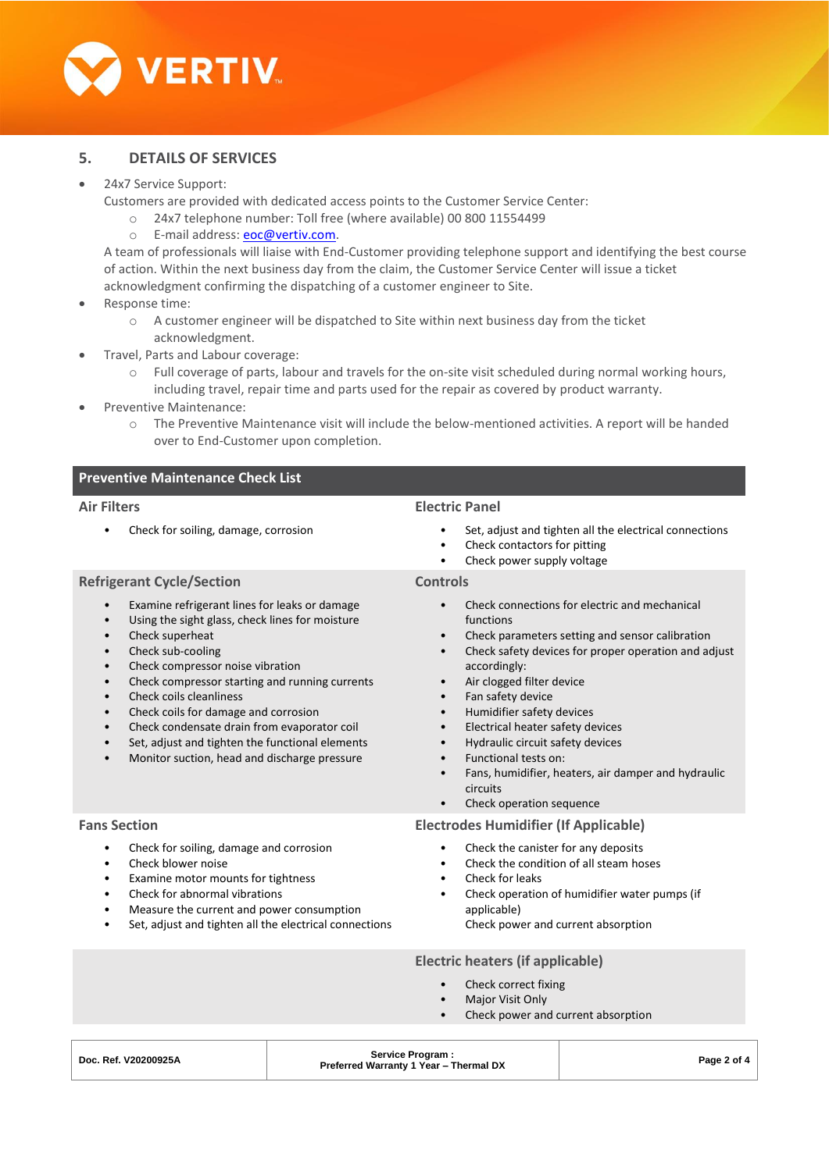

# **5. DETAILS OF SERVICES**

#### • 24x7 Service Support:

Customers are provided with dedicated access points to the Customer Service Center:

- o 24x7 telephone number: Toll free (where available) 00 800 11554499
- o E-mail address: [eoc@vertiv.com.](mailto:eoc@vertiv.com)

A team of professionals will liaise with End-Customer providing telephone support and identifying the best course of action. Within the next business day from the claim, the Customer Service Center will issue a ticket acknowledgment confirming the dispatching of a customer engineer to Site.

- Response time:
	- $\circ$  A customer engineer will be dispatched to Site within next business day from the ticket acknowledgment.
	- Travel, Parts and Labour coverage:
		- o Full coverage of parts, labour and travels for the on-site visit scheduled during normal working hours, including travel, repair time and parts used for the repair as covered by product warranty.
- Preventive Maintenance:
	- o The Preventive Maintenance visit will include the below-mentioned activities. A report will be handed over to End-Customer upon completion.

# **Preventive Maintenance Check List**

#### **Air Filters**

• Check for soiling, damage, corrosion

#### **Electric Panel**

- Set, adjust and tighten all the electrical connections
- Check contactors for pitting
- Check power supply voltage

# **Controls**

- Check connections for electric and mechanical functions
- Check parameters setting and sensor calibration
- Check safety devices for proper operation and adjust accordingly:
- Air clogged filter device
- Fan safety device
- Humidifier safety devices
- Electrical heater safety devices
- Hydraulic circuit safety devices
- Functional tests on:
- Fans, humidifier, heaters, air damper and hydraulic circuits
- Check operation sequence

#### **Electrodes Humidifier (If Applicable)**

- Check the canister for any deposits
- Check the condition of all steam hoses
- Check for leaks
- Check operation of humidifier water pumps (if applicable)
	- Check power and current absorption

#### **Electric heaters (if applicable)**

- Check correct fixing
- **Major Visit Only**
- Check power and current absorption

- Check superheat
- Check sub-cooling

**Refrigerant Cycle/Section**

- Check compressor noise vibration
- Check compressor starting and running currents

• Examine refrigerant lines for leaks or damage Using the sight glass, check lines for moisture

- Check coils cleanliness
- Check coils for damage and corrosion
- Check condensate drain from evaporator coil
- Set, adjust and tighten the functional elements
- Monitor suction, head and discharge pressure

#### **Fans Section**

- Check for soiling, damage and corrosion
- Check blower noise
- Examine motor mounts for tightness
- Check for abnormal vibrations
- Measure the current and power consumption
- Set, adjust and tighten all the electrical connections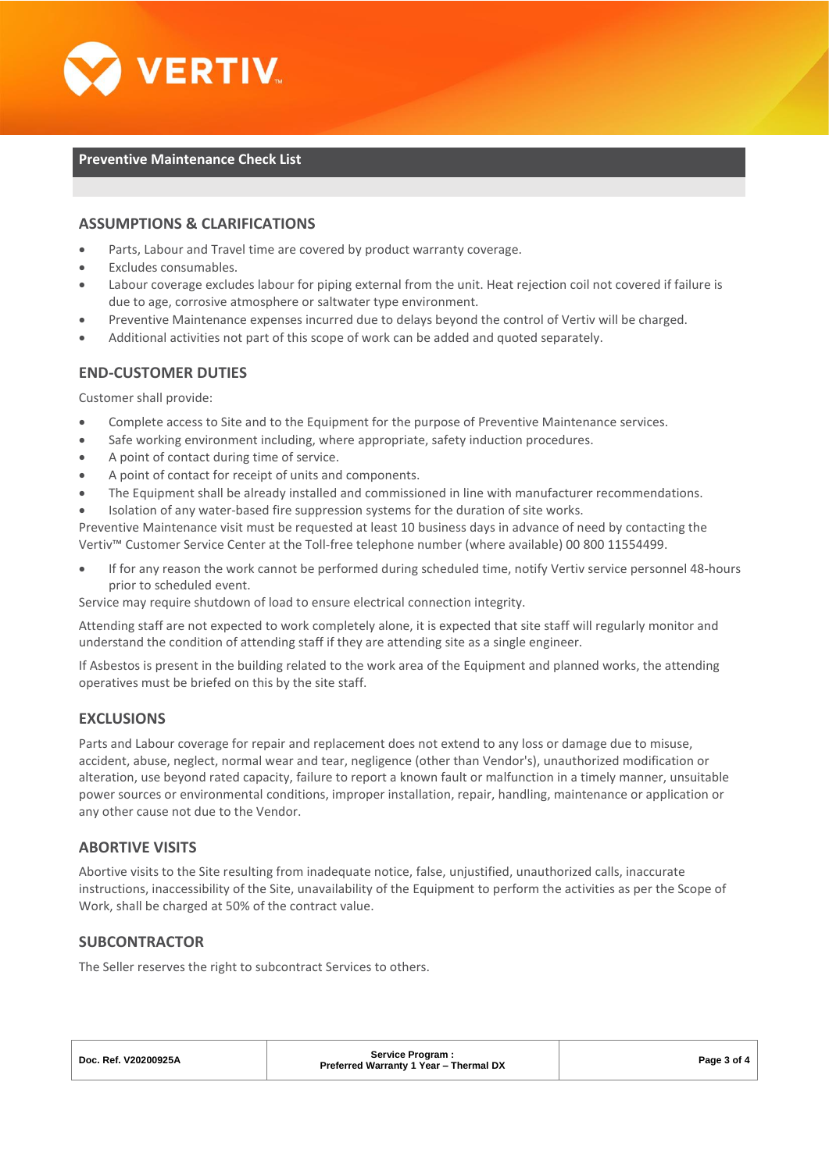

#### **Preventive Maintenance Check List**

### **ASSUMPTIONS & CLARIFICATIONS**

- Parts, Labour and Travel time are covered by product warranty coverage.
- Excludes consumables.
- Labour coverage excludes labour for piping external from the unit. Heat rejection coil not covered if failure is due to age, corrosive atmosphere or saltwater type environment.
- Preventive Maintenance expenses incurred due to delays beyond the control of Vertiv will be charged.
- Additional activities not part of this scope of work can be added and quoted separately.

### **END-CUSTOMER DUTIES**

Customer shall provide:

- Complete access to Site and to the Equipment for the purpose of Preventive Maintenance services.
- Safe working environment including, where appropriate, safety induction procedures.
- A point of contact during time of service.
- A point of contact for receipt of units and components.
- The Equipment shall be already installed and commissioned in line with manufacturer recommendations.
- Isolation of any water-based fire suppression systems for the duration of site works.

Preventive Maintenance visit must be requested at least 10 business days in advance of need by contacting the Vertiv™ Customer Service Center at the Toll-free telephone number (where available) 00 800 11554499.

• If for any reason the work cannot be performed during scheduled time, notify Vertiv service personnel 48-hours prior to scheduled event.

Service may require shutdown of load to ensure electrical connection integrity.

Attending staff are not expected to work completely alone, it is expected that site staff will regularly monitor and understand the condition of attending staff if they are attending site as a single engineer.

If Asbestos is present in the building related to the work area of the Equipment and planned works, the attending operatives must be briefed on this by the site staff.

#### **EXCLUSIONS**

Parts and Labour coverage for repair and replacement does not extend to any loss or damage due to misuse, accident, abuse, neglect, normal wear and tear, negligence (other than Vendor's), unauthorized modification or alteration, use beyond rated capacity, failure to report a known fault or malfunction in a timely manner, unsuitable power sources or environmental conditions, improper installation, repair, handling, maintenance or application or any other cause not due to the Vendor.

#### **ABORTIVE VISITS**

Abortive visits to the Site resulting from inadequate notice, false, unjustified, unauthorized calls, inaccurate instructions, inaccessibility of the Site, unavailability of the Equipment to perform the activities as per the Scope of Work, shall be charged at 50% of the contract value.

### **SUBCONTRACTOR**

The Seller reserves the right to subcontract Services to others.

| Doc. Ref. V20200925A | Service Program:<br>Preferred Warranty 1 Year - Thermal DX | Page 3 of 4 |
|----------------------|------------------------------------------------------------|-------------|
|                      |                                                            |             |